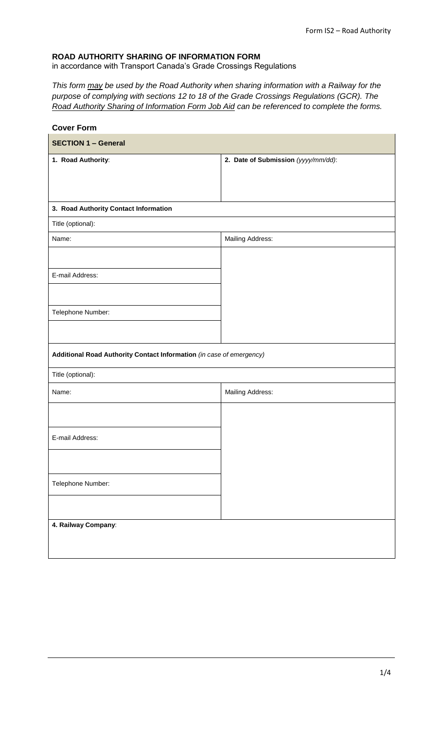## **ROAD AUTHORITY SHARING OF INFORMATION FORM**

in accordance with Transport Canada's Grade Crossings Regulations

*This form may be used by the Road Authority when sharing information with a Railway for the purpose of complying with sections 12 to 18 of the Grade Crossings Regulations (GCR). The Road Authority Sharing of Information Form Job Aid can be referenced to complete the forms.*

| <b>Cover Form</b>                                                    |                                     |  |  |  |  |  |  |  |
|----------------------------------------------------------------------|-------------------------------------|--|--|--|--|--|--|--|
| <b>SECTION 1 - General</b>                                           |                                     |  |  |  |  |  |  |  |
| 1. Road Authority:                                                   | 2. Date of Submission (yyyy/mm/dd): |  |  |  |  |  |  |  |
|                                                                      |                                     |  |  |  |  |  |  |  |
|                                                                      |                                     |  |  |  |  |  |  |  |
| 3. Road Authority Contact Information                                |                                     |  |  |  |  |  |  |  |
| Title (optional):                                                    |                                     |  |  |  |  |  |  |  |
| Name:                                                                | Mailing Address:                    |  |  |  |  |  |  |  |
|                                                                      |                                     |  |  |  |  |  |  |  |
| E-mail Address:                                                      |                                     |  |  |  |  |  |  |  |
|                                                                      |                                     |  |  |  |  |  |  |  |
|                                                                      |                                     |  |  |  |  |  |  |  |
| Telephone Number:                                                    |                                     |  |  |  |  |  |  |  |
|                                                                      |                                     |  |  |  |  |  |  |  |
| Additional Road Authority Contact Information (in case of emergency) |                                     |  |  |  |  |  |  |  |
| Title (optional):                                                    |                                     |  |  |  |  |  |  |  |
| Name:                                                                | Mailing Address:                    |  |  |  |  |  |  |  |
|                                                                      |                                     |  |  |  |  |  |  |  |
|                                                                      |                                     |  |  |  |  |  |  |  |
| E-mail Address:                                                      |                                     |  |  |  |  |  |  |  |
|                                                                      |                                     |  |  |  |  |  |  |  |
| Telephone Number:                                                    |                                     |  |  |  |  |  |  |  |
|                                                                      |                                     |  |  |  |  |  |  |  |
|                                                                      |                                     |  |  |  |  |  |  |  |
| 4. Railway Company:                                                  |                                     |  |  |  |  |  |  |  |
|                                                                      |                                     |  |  |  |  |  |  |  |
|                                                                      |                                     |  |  |  |  |  |  |  |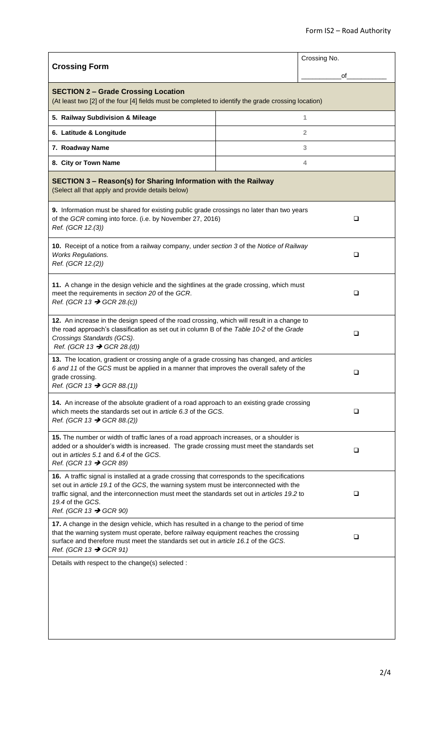|                                                                                                                                                                                                                                                                                                                                                 | Crossing No. |  |  |  |  |  |  |
|-------------------------------------------------------------------------------------------------------------------------------------------------------------------------------------------------------------------------------------------------------------------------------------------------------------------------------------------------|--------------|--|--|--|--|--|--|
| <b>Crossing Form</b>                                                                                                                                                                                                                                                                                                                            | οf           |  |  |  |  |  |  |
| <b>SECTION 2 - Grade Crossing Location</b><br>(At least two [2] of the four [4] fields must be completed to identify the grade crossing location)                                                                                                                                                                                               |              |  |  |  |  |  |  |
| 5. Railway Subdivision & Mileage                                                                                                                                                                                                                                                                                                                | 1            |  |  |  |  |  |  |
| 6. Latitude & Longitude                                                                                                                                                                                                                                                                                                                         | 2            |  |  |  |  |  |  |
| 7. Roadway Name                                                                                                                                                                                                                                                                                                                                 | 3            |  |  |  |  |  |  |
| 8. City or Town Name                                                                                                                                                                                                                                                                                                                            | 4            |  |  |  |  |  |  |
| SECTION 3 - Reason(s) for Sharing Information with the Railway<br>(Select all that apply and provide details below)                                                                                                                                                                                                                             |              |  |  |  |  |  |  |
| 9. Information must be shared for existing public grade crossings no later than two years<br>of the GCR coming into force. (i.e. by November 27, 2016)<br>Ref. (GCR 12.(3))                                                                                                                                                                     | ❏            |  |  |  |  |  |  |
| 10. Receipt of a notice from a railway company, under section 3 of the Notice of Railway<br><b>Works Regulations.</b><br>Ref. (GCR 12.(2))                                                                                                                                                                                                      | $\Box$       |  |  |  |  |  |  |
| 11. A change in the design vehicle and the sightlines at the grade crossing, which must<br>meet the requirements in section 20 of the GCR.<br>Ref. (GCR 13 $\rightarrow$ GCR 28.(c))                                                                                                                                                            | ❏            |  |  |  |  |  |  |
| 12. An increase in the design speed of the road crossing, which will result in a change to<br>the road approach's classification as set out in column B of the Table 10-2 of the Grade<br>Crossings Standards (GCS).<br>Ref. (GCR 13 $\rightarrow$ GCR 28.(d))                                                                                  | ❏            |  |  |  |  |  |  |
| 13. The location, gradient or crossing angle of a grade crossing has changed, and articles<br>6 and 11 of the GCS must be applied in a manner that improves the overall safety of the<br>grade crossing.<br>Ref. (GCR 13 $\rightarrow$ GCR 88.(1))                                                                                              | n            |  |  |  |  |  |  |
| 14. An increase of the absolute gradient of a road approach to an existing grade crossing<br>which meets the standards set out in article 6.3 of the GCS.<br>Ref. (GCR 13 $\rightarrow$ GCR 88.(2))                                                                                                                                             | ❏            |  |  |  |  |  |  |
| 15. The number or width of traffic lanes of a road approach increases, or a shoulder is<br>added or a shoulder's width is increased. The grade crossing must meet the standards set<br>out in articles 5.1 and 6.4 of the GCS.<br>Ref. (GCR 13 $\rightarrow$ GCR 89)                                                                            | $\Box$       |  |  |  |  |  |  |
| 16. A traffic signal is installed at a grade crossing that corresponds to the specifications<br>set out in article 19.1 of the GCS, the warning system must be interconnected with the<br>traffic signal, and the interconnection must meet the standards set out in articles 19.2 to<br>19.4 of the GCS.<br>Ref. (GCR 13 $\rightarrow$ GCR 90) | ❏            |  |  |  |  |  |  |
| 17. A change in the design vehicle, which has resulted in a change to the period of time<br>that the warning system must operate, before railway equipment reaches the crossing<br>surface and therefore must meet the standards set out in article 16.1 of the GCS.<br>Ref. (GCR 13 $\rightarrow$ GCR 91)                                      | ❏            |  |  |  |  |  |  |
| Details with respect to the change(s) selected :                                                                                                                                                                                                                                                                                                |              |  |  |  |  |  |  |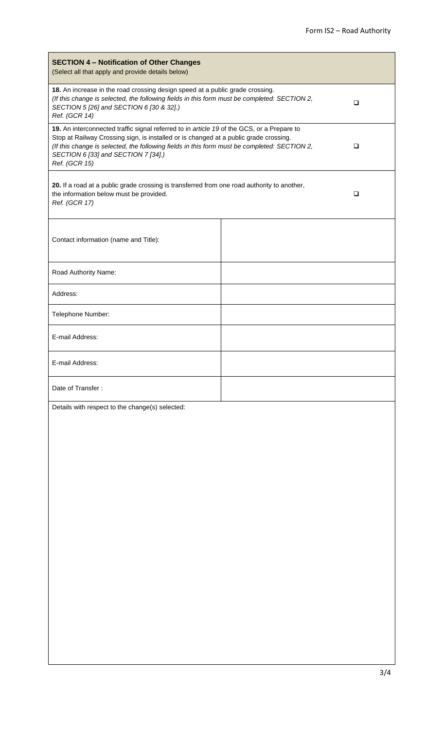| <b>SECTION 4 - Notification of Other Changes</b><br>(Select all that apply and provide details below)                                                                                                                                                                                                                                       |   |  |  |  |  |  |  |  |
|---------------------------------------------------------------------------------------------------------------------------------------------------------------------------------------------------------------------------------------------------------------------------------------------------------------------------------------------|---|--|--|--|--|--|--|--|
| 18. An increase in the road crossing design speed at a public grade crossing.<br>(If this change is selected, the following fields in this form must be completed: SECTION 2,<br>SECTION 5 [26] and SECTION 6 [30 & 32].)<br>Ref. (GCR 14)                                                                                                  | □ |  |  |  |  |  |  |  |
| 19. An interconnected traffic signal referred to in article 19 of the GCS, or a Prepare to<br>Stop at Railway Crossing sign, is installed or is changed at a public grade crossing.<br>(If this change is selected, the following fields in this form must be completed: SECTION 2,<br>SECTION 6 [33] and SECTION 7 [34].)<br>Ref. (GCR 15) | ❏ |  |  |  |  |  |  |  |
| 20. If a road at a public grade crossing is transferred from one road authority to another,<br>the information below must be provided.<br>Ref. (GCR 17)                                                                                                                                                                                     | □ |  |  |  |  |  |  |  |
| Contact information (name and Title):                                                                                                                                                                                                                                                                                                       |   |  |  |  |  |  |  |  |
| Road Authority Name:                                                                                                                                                                                                                                                                                                                        |   |  |  |  |  |  |  |  |
| Address:                                                                                                                                                                                                                                                                                                                                    |   |  |  |  |  |  |  |  |
| Telephone Number:                                                                                                                                                                                                                                                                                                                           |   |  |  |  |  |  |  |  |
| E-mail Address:                                                                                                                                                                                                                                                                                                                             |   |  |  |  |  |  |  |  |
| E-mail Address:                                                                                                                                                                                                                                                                                                                             |   |  |  |  |  |  |  |  |
| Date of Transfer:                                                                                                                                                                                                                                                                                                                           |   |  |  |  |  |  |  |  |
| Details with respect to the change(s) selected:                                                                                                                                                                                                                                                                                             |   |  |  |  |  |  |  |  |
|                                                                                                                                                                                                                                                                                                                                             |   |  |  |  |  |  |  |  |
|                                                                                                                                                                                                                                                                                                                                             |   |  |  |  |  |  |  |  |
|                                                                                                                                                                                                                                                                                                                                             |   |  |  |  |  |  |  |  |
|                                                                                                                                                                                                                                                                                                                                             |   |  |  |  |  |  |  |  |
|                                                                                                                                                                                                                                                                                                                                             |   |  |  |  |  |  |  |  |
|                                                                                                                                                                                                                                                                                                                                             |   |  |  |  |  |  |  |  |
|                                                                                                                                                                                                                                                                                                                                             |   |  |  |  |  |  |  |  |
|                                                                                                                                                                                                                                                                                                                                             |   |  |  |  |  |  |  |  |
|                                                                                                                                                                                                                                                                                                                                             |   |  |  |  |  |  |  |  |
|                                                                                                                                                                                                                                                                                                                                             |   |  |  |  |  |  |  |  |